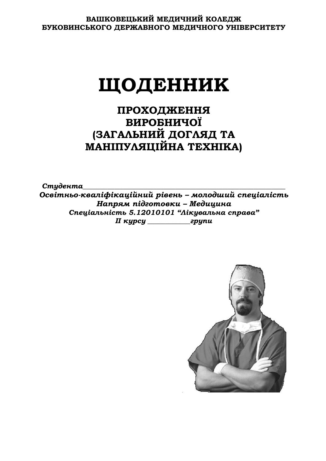# **ШОДЕННИК**

ПРОХОДЖЕННЯ **БИРОБНИЧОЇ** (ЗАГАЛЬНИЙ ДОГЛЯД ТА МАНІПУЛЯЦІЙНА ТЕХНІКА)

Студента *ǼȟȐȳȠțȪȜȘȐȎșȳȢȳȘȎȤȳȗțȖȗȞȳȐȓțȪ – ȚȜșȜȒȦȖȗȟȝȓȤȳȎșȳȟȠȪ*  $H$ апрям підготовки – Медицина Спеціальність 5.12010101 "Лікувальна справа" *ǥǥȘȡȞȟȡ \_\_\_\_\_\_\_\_\_\_\_\_ȑȞȡȝȖ*

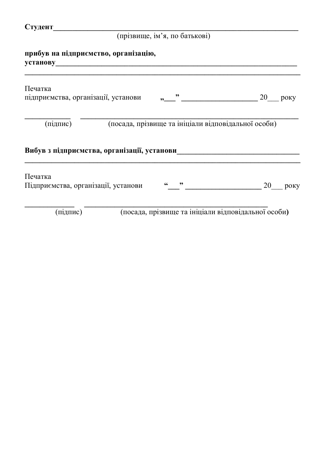# (прізвище, ім'я, по батькові)

| прибув на підприємство, організацію,<br><b>установу</b> <u>марти с постановки при принадении с постановки при принадении с постановки при принадении с при при</u> |  |               |                                                     |      |
|--------------------------------------------------------------------------------------------------------------------------------------------------------------------|--|---------------|-----------------------------------------------------|------|
| Печатка<br>підприємства, організації, установи                                                                                                                     |  |               | — " $\frac{20}{\sqrt{25}}$ року                     |      |
| (підпис)                                                                                                                                                           |  |               | (посада, прізвище та ініціали відповідальної особи) |      |
| Вибув з підприємства, організації, установи                                                                                                                        |  |               |                                                     |      |
| Печатка<br>Підприємства, організації, установи                                                                                                                     |  | $\frac{1}{2}$ | 20                                                  | року |
| (підпис)                                                                                                                                                           |  |               | (посада, прізвище та ініціали відповідальної особи) |      |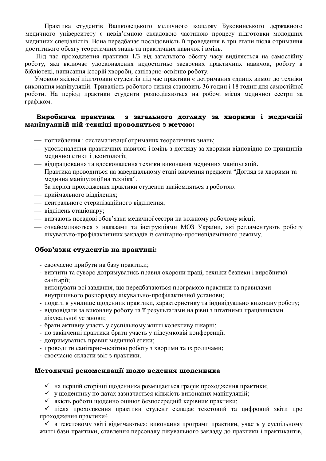Практика студентів Вашковецького медичного коледжу Буковинського державного медичного університету є невід'ємною складовою частиною процесу підготовки молодших медичних спеціалістів. Вона передбачає послідовність її проведення в три етапи після отримання достатнього обсягу теоретичних знань та практичних навичок і вмінь.

Під час проходження практики 1/3 від загального обсягу часу виділяється на самостійну роботу, яка включає удосконалення недостатньо засвоєних практичних навичок, роботу в бібліотеці, написання історій хвороби, санітарно-освітню роботу.

Умовою якісної підготовки студентів під час практики є дотримання єдиних вимог до техніки виконання маніпуляцій. Тривалість робочого тижня становить 36 годин і 18 годин для самостійної роботи. На період практики студенти розподіляються на робочі місця медичної сестри за графіком.

#### Виробнича практика з загального догляду за хворими і медичній **МАНІПУЛЯЦІЙ НІЙ ТЄХНІЦІ ПРОВОДИТЬСЯ З МЕТОЮ:**

- поглиблення і систематизації отриманих теоретичних знань;
- удосконалення практичних навичок і вмінь з догляду за хворими відповідно до принципів медичної етики і деонтології;
- відпрацювання та вдосконалення техніки виконання медичних маніпуляцій. Практика проводиться на завершальному етапі вивчення предмета "Догляд за хворими та медична маніпуляційна техніка".
	- За період проходження практики студенти знайомляться з роботою:
- приймального відділення;
- центрального стерилізаційного відділення;
- **відділень стаціонару;**
- вивчають посадові обов'язки медичної сестри на кожному робочому місці;
- ознайомлюються з наказами та інструкціями МОЗ України, які регламентують роботу лікувально-профілактичних закладів із санітарно-протиепідемічного режиму.

#### Обов'язки студентів на практиці:

- своєчасно прибути на базу практики;
- вивчити та суворо дотримуватись правил охорони праці, техніки безпеки і виробничої санітарії;
- виконувати всі завдання, що передбачаються програмою практики та правилами внутрішнього розпорядку лікувально-профілактичної установи;
- подати в училище щоденник практики, характеристику та індивідуально виконану роботу;
- відповідати за виконану роботу та її результатами на рівні з штатними працівниками лікувальної установи;
- брати активну участь у суспільному житті колективу лікарні;
- по закінченні практики брати участь у підсумковій конференції;
- дотримуватись правил медичної етики;
- проводити санітарно-освітню роботу з хворими та їх родичами;
- своєчасно скласти звіт з практики.

#### Методичні рекомендації щодо ведення щоденника

- ◆ на першій сторінці щоденника розміщається графік проходження практики;
- ◆ ущоденнику по датах зазначається кількість виконаних маніпуляцій;
- ◆ якість роботи щоденно оцінює безпосередній керівник практики;

√ після проходження практики студент складає текстовий та цифровий звіти про проходження практики4

√ в текстовому звіті відмічаються: виконання програми практики, участь у суспільному житті бази практики, ставлення персоналу лікувального закладу до практики і практикантів,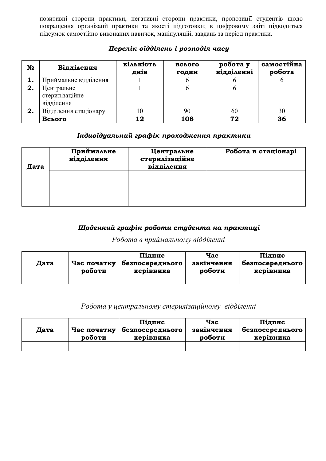позитивні сторони практики, негативні сторони практики, пропозиції студентів щодо покращення організації практики та якості підготовки; в цифровому звіті підводиться підсумок самостійно виконаних навичок, маніпуляцій, завдань за період практики.

| N <sub>o</sub> | Відділення                                 | кількість<br>днів | всього<br><b>ГОДИН</b> | робота у<br>відділенні | самостійна<br>робота |
|----------------|--------------------------------------------|-------------------|------------------------|------------------------|----------------------|
|                | Приймальне відділення                      |                   |                        |                        |                      |
| 2.             | Центральне<br>стерилізаційне<br>відділення |                   |                        |                        |                      |
| 2.             | Відділення стаціонару                      | l ()              | 90                     | 60                     | 30                   |
|                | Всього                                     | 12                | 108                    | 72                     | 36                   |

# Перелік відділень і розподіл часу

# **Індивідуальний графік проходження практики**

| Дата | Приймальне<br>відділення | Центральне<br>стерилізаційне<br>відділення | Робота в стаціонарі |
|------|--------------------------|--------------------------------------------|---------------------|
|      |                          |                                            |                     |
|      |                          |                                            |                     |

# *ȇȜȒȓțțȖȗȑȞȎȢȳȘȞȜȏȜȠȖȟȠȡȒȓțȠȎțȎȝȞȎȘȠȖȤȳ*

# $P$ обота в приймальному відділенні

|      |             | Підпис          | Hac        | Підпис            |
|------|-------------|-----------------|------------|-------------------|
| Дата | Час початку | безпосереднього | закінчення | везпосереднього " |
|      | роботи      | керівника       | роботи     | керівника         |
|      |             |                 |            |                   |

# $P$ обота у центральному стерилізаційному відділенні

|      |             | Підпис          | Hac        | Підпис          |
|------|-------------|-----------------|------------|-----------------|
| Дата | Час початку | безпосереднього | закінчення | безпосереднього |
|      | роботи      | керівника       | роботи     | керівника       |
|      |             |                 |            |                 |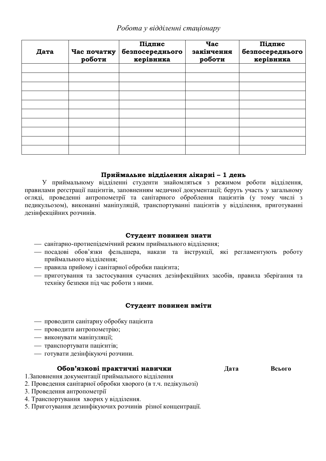# **Робота у відділенні стаціонару**

| Дата | Час початку<br>роботи | Підпис<br>безпосереднього<br>керівника | <b>Hac</b><br>закінчення<br>роботи | Підпис<br>безпосереднього<br>керівника |
|------|-----------------------|----------------------------------------|------------------------------------|----------------------------------------|
|      |                       |                                        |                                    |                                        |
|      |                       |                                        |                                    |                                        |
|      |                       |                                        |                                    |                                        |
|      |                       |                                        |                                    |                                        |
|      |                       |                                        |                                    |                                        |
|      |                       |                                        |                                    |                                        |
|      |                       |                                        |                                    |                                        |
|      |                       |                                        |                                    |                                        |
|      |                       |                                        |                                    |                                        |

#### Приймальне відділення лікарні - 1 день

У приймальному відділенні студенти знайомляться з режимом роботи відділення, правилами реєстрації пацієнтів, заповненням меличної локументації: беруть участь у загальному огляді, проведенні антропометрії та санітарного оброблення пацієнтів (у тому числі з педикульозом), виконанні маніпуляцій, транспортуванні пацієнтів у відділення, приготуванні дезінфекційних розчинів.

#### Студент повинен знати

- санітарно-протиепідемічний режим приймального відділення:
- посадові обов'язки фельдшера, накази та інструкції, які регламентують роботу приймального відділення;
- правила прийому і санітарної обробки пацієнта;
- приготування та застосування сучасних дезінфекційних засобів, правила зберігання та техніку безпеки під час роботи з ними.

#### Студент повинен вміти

- проводити санітарну обробку пацієнта
- проводити антропометрію;
- **виконувати маніпуляції**;
- транспортувати пацієнтів;
- готувати дезінфікуючі розчини.

#### **ǼȏȜȐ'ȭȕȘȜȐȳȝȞȎȘȠȖȥțȳțȎȐȖȥȘȖ Ⱦɚɬɚ ȼɫɶɨɝɨ**

- 1. Заповнення документації приймального відділення
- 2. Проведення санітарної обробки хворого (в т.ч. педікульозі)
- 3. Проведення антропометрії
- 4. Транспортування хворих у відділення.
- 5. Приготування дезинфікуючих розчинів різної концентрації.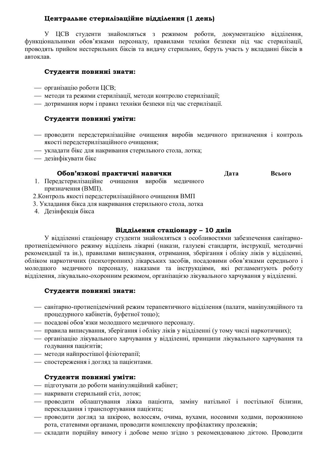# Центральне стерилізаційне відділення (1 день)

У ЦСВ студенти знайомляться з режимом роботи, документацією відділення, функціональними обов'язками персоналу, правилами техніки безпеки під час стерилізації, проводять прийом нестерильних біксів та видачу стерильних, беруть участь у вкладанні біксів в автоклав.

#### Студенти повинні знати:

- організацію роботи ЦСВ;
- методи та режими стерилізації, методи контролю стерилізації;
- дотримання норм і правил техніки безпеки під час стерилізації.

### Студенти повинні уміти:

- проводити передстерилізаційне очищення виробів медичного призначення і контроль якості передстерилізаційного очищення;
- укладати бікс для накривання стерильного стола. лотка:
- дезінфікувати бікс

#### **Обов'язкові практичні навички** Дата Всього

1. Передстерилізаційне очищення виробів медичного призначення (ВМП).

2. Контроль якості передстерилізаційного очищення ВМП

- 3. Укладання бікса для накривання стерильного стола, лотка
- 4. Дезінфекція бікса

#### Відділення стаціонару - 10 днів

У відділенні стаціонару студенти знайомляться з особливостями забезпечення санітарнопротиепідемічного режиму відділень лікарні (накази, галузеві стандарти, інструкції, методичні рекомендації та ін.), правилами виписування, отримання, зберігання і обліку ліків у відділенні, обліком наркотичних (психотропних) лікарських засобів, посаловими обов'язками серелнього і молодшого медичного персоналу, наказами та інструкціями, які регламентують роботу відділення, лікувально-охоронним режимом, організацією лікувального харчування у відділенні.

#### Студенти повинні знати:

- санітарно-протиепідемічний режим терапевтичного відділення (палати, маніпуляційного та процедурного кабінетів, буфетної тощо);
- посадові обов'язки молодшого медичного персоналу.
- правила виписування, зберігання і обліку ліків у відділенні (у тому числі наркотичних);
- організацію лікувального харчування у відділенні, принципи лікувального харчування та годування пацієнтів;
- методи найпростішої фізіотерапії;
- спостереження і догляд за пацієнтами.

#### Студенти повинні уміти:

- підготувати до роботи маніпуляційний кабінет;
- накривати стерильний стіл, лоток;
- проводити облаштування ліжка пацієнта, заміну натільної і постільної білизни, перекладання і транспортування пацієнта;
- проводити догляд за шкірою, волоссям, очима, вухами, носовими ходами, порожниною рота, статевими органами, проводити комплексну профілактику пролежнів;
- складати порційну вимогу і добове меню згідно з рекомендованою дієтою. Проводити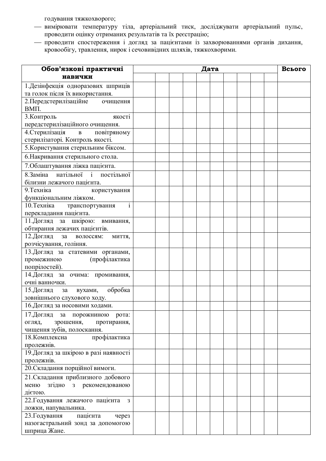годування тяжкохворого;

- вимірювати температуру тіла, артеріальний тиск, досліджувати артеріальний пульс, проводити оцінку отриманих результатів та їх реєстрацію;
- проводити спостереження і догляд за пацієнтами із захворюваннями органів дихання, товообігу, травлення, нирок і сечовивідних шляхів, тяжкохворими.

| Обов'язкові практичні                                                                                                                                                                                                                                                                                                                                                                                                                                                                                                                                                                                                                                                                                                                                                                                              | Дата |  |  |  |  |  |  | Всього |  |
|--------------------------------------------------------------------------------------------------------------------------------------------------------------------------------------------------------------------------------------------------------------------------------------------------------------------------------------------------------------------------------------------------------------------------------------------------------------------------------------------------------------------------------------------------------------------------------------------------------------------------------------------------------------------------------------------------------------------------------------------------------------------------------------------------------------------|------|--|--|--|--|--|--|--------|--|
| навички                                                                                                                                                                                                                                                                                                                                                                                                                                                                                                                                                                                                                                                                                                                                                                                                            |      |  |  |  |  |  |  |        |  |
| 1. Дезінфекція одноразових шприців                                                                                                                                                                                                                                                                                                                                                                                                                                                                                                                                                                                                                                                                                                                                                                                 |      |  |  |  |  |  |  |        |  |
| та голок після їх використання.                                                                                                                                                                                                                                                                                                                                                                                                                                                                                                                                                                                                                                                                                                                                                                                    |      |  |  |  |  |  |  |        |  |
| 2. Передстерилізаційне<br>очищення<br>BΜΠ.                                                                                                                                                                                                                                                                                                                                                                                                                                                                                                                                                                                                                                                                                                                                                                         |      |  |  |  |  |  |  |        |  |
| 3. Контроль<br>якості                                                                                                                                                                                                                                                                                                                                                                                                                                                                                                                                                                                                                                                                                                                                                                                              |      |  |  |  |  |  |  |        |  |
| передстерилізаційного очищення.                                                                                                                                                                                                                                                                                                                                                                                                                                                                                                                                                                                                                                                                                                                                                                                    |      |  |  |  |  |  |  |        |  |
| 4. Стерилізація<br>повітряному<br>$\mathbf{B}$                                                                                                                                                                                                                                                                                                                                                                                                                                                                                                                                                                                                                                                                                                                                                                     |      |  |  |  |  |  |  |        |  |
| стерилізаторі. Контроль якості.                                                                                                                                                                                                                                                                                                                                                                                                                                                                                                                                                                                                                                                                                                                                                                                    |      |  |  |  |  |  |  |        |  |
| 5. Користування стерильним біксом.                                                                                                                                                                                                                                                                                                                                                                                                                                                                                                                                                                                                                                                                                                                                                                                 |      |  |  |  |  |  |  |        |  |
| 6. Накривання стерильного стола.                                                                                                                                                                                                                                                                                                                                                                                                                                                                                                                                                                                                                                                                                                                                                                                   |      |  |  |  |  |  |  |        |  |
| 7. Облаштування ліжка пацієнта.                                                                                                                                                                                                                                                                                                                                                                                                                                                                                                                                                                                                                                                                                                                                                                                    |      |  |  |  |  |  |  |        |  |
| 8. Заміна натільної і постільної                                                                                                                                                                                                                                                                                                                                                                                                                                                                                                                                                                                                                                                                                                                                                                                   |      |  |  |  |  |  |  |        |  |
| білизни лежачого пацієнта.                                                                                                                                                                                                                                                                                                                                                                                                                                                                                                                                                                                                                                                                                                                                                                                         |      |  |  |  |  |  |  |        |  |
| 9. Техніка<br>користування                                                                                                                                                                                                                                                                                                                                                                                                                                                                                                                                                                                                                                                                                                                                                                                         |      |  |  |  |  |  |  |        |  |
|                                                                                                                                                                                                                                                                                                                                                                                                                                                                                                                                                                                                                                                                                                                                                                                                                    |      |  |  |  |  |  |  |        |  |
|                                                                                                                                                                                                                                                                                                                                                                                                                                                                                                                                                                                                                                                                                                                                                                                                                    |      |  |  |  |  |  |  |        |  |
|                                                                                                                                                                                                                                                                                                                                                                                                                                                                                                                                                                                                                                                                                                                                                                                                                    |      |  |  |  |  |  |  |        |  |
|                                                                                                                                                                                                                                                                                                                                                                                                                                                                                                                                                                                                                                                                                                                                                                                                                    |      |  |  |  |  |  |  |        |  |
|                                                                                                                                                                                                                                                                                                                                                                                                                                                                                                                                                                                                                                                                                                                                                                                                                    |      |  |  |  |  |  |  |        |  |
|                                                                                                                                                                                                                                                                                                                                                                                                                                                                                                                                                                                                                                                                                                                                                                                                                    |      |  |  |  |  |  |  |        |  |
|                                                                                                                                                                                                                                                                                                                                                                                                                                                                                                                                                                                                                                                                                                                                                                                                                    |      |  |  |  |  |  |  |        |  |
| (профілактика                                                                                                                                                                                                                                                                                                                                                                                                                                                                                                                                                                                                                                                                                                                                                                                                      |      |  |  |  |  |  |  |        |  |
| попрілостей).                                                                                                                                                                                                                                                                                                                                                                                                                                                                                                                                                                                                                                                                                                                                                                                                      |      |  |  |  |  |  |  |        |  |
| 14. Догляд за очима: промивання,                                                                                                                                                                                                                                                                                                                                                                                                                                                                                                                                                                                                                                                                                                                                                                                   |      |  |  |  |  |  |  |        |  |
|                                                                                                                                                                                                                                                                                                                                                                                                                                                                                                                                                                                                                                                                                                                                                                                                                    |      |  |  |  |  |  |  |        |  |
|                                                                                                                                                                                                                                                                                                                                                                                                                                                                                                                                                                                                                                                                                                                                                                                                                    |      |  |  |  |  |  |  |        |  |
|                                                                                                                                                                                                                                                                                                                                                                                                                                                                                                                                                                                                                                                                                                                                                                                                                    |      |  |  |  |  |  |  |        |  |
|                                                                                                                                                                                                                                                                                                                                                                                                                                                                                                                                                                                                                                                                                                                                                                                                                    |      |  |  |  |  |  |  |        |  |
|                                                                                                                                                                                                                                                                                                                                                                                                                                                                                                                                                                                                                                                                                                                                                                                                                    |      |  |  |  |  |  |  |        |  |
|                                                                                                                                                                                                                                                                                                                                                                                                                                                                                                                                                                                                                                                                                                                                                                                                                    |      |  |  |  |  |  |  |        |  |
|                                                                                                                                                                                                                                                                                                                                                                                                                                                                                                                                                                                                                                                                                                                                                                                                                    |      |  |  |  |  |  |  |        |  |
|                                                                                                                                                                                                                                                                                                                                                                                                                                                                                                                                                                                                                                                                                                                                                                                                                    |      |  |  |  |  |  |  |        |  |
|                                                                                                                                                                                                                                                                                                                                                                                                                                                                                                                                                                                                                                                                                                                                                                                                                    |      |  |  |  |  |  |  |        |  |
| пролежнів.                                                                                                                                                                                                                                                                                                                                                                                                                                                                                                                                                                                                                                                                                                                                                                                                         |      |  |  |  |  |  |  |        |  |
|                                                                                                                                                                                                                                                                                                                                                                                                                                                                                                                                                                                                                                                                                                                                                                                                                    |      |  |  |  |  |  |  |        |  |
| 21. Складання приблизного добового                                                                                                                                                                                                                                                                                                                                                                                                                                                                                                                                                                                                                                                                                                                                                                                 |      |  |  |  |  |  |  |        |  |
| згідно з рекомендованою<br>меню                                                                                                                                                                                                                                                                                                                                                                                                                                                                                                                                                                                                                                                                                                                                                                                    |      |  |  |  |  |  |  |        |  |
| дієтою.                                                                                                                                                                                                                                                                                                                                                                                                                                                                                                                                                                                                                                                                                                                                                                                                            |      |  |  |  |  |  |  |        |  |
| 3                                                                                                                                                                                                                                                                                                                                                                                                                                                                                                                                                                                                                                                                                                                                                                                                                  |      |  |  |  |  |  |  |        |  |
|                                                                                                                                                                                                                                                                                                                                                                                                                                                                                                                                                                                                                                                                                                                                                                                                                    |      |  |  |  |  |  |  |        |  |
|                                                                                                                                                                                                                                                                                                                                                                                                                                                                                                                                                                                                                                                                                                                                                                                                                    |      |  |  |  |  |  |  |        |  |
|                                                                                                                                                                                                                                                                                                                                                                                                                                                                                                                                                                                                                                                                                                                                                                                                                    |      |  |  |  |  |  |  |        |  |
| функціональним ліжком.<br>$\mathbf{i}$<br>10. Техніка<br>транспортування<br>перекладання пацієнта.<br>11. Догляд за шкірою: вмивання,<br>обтирання лежачих пацієнтів.<br>12. Догляд<br>за<br>волоссям:<br>МИТТЯ,<br>розчісування, гоління.<br>13. Догляд за статевими органами,<br>промежиною<br>очні ванночки.<br>обробка<br>15. Догляд<br>3a<br>вухами,<br>зовнішнього слухового ходу.<br>16. Догляд за носовими ходами.<br>17. Догляд за порожниною рота:<br>протирання,<br>огляд,<br>зрошення,<br>чищення зубів, полоскання.<br>профілактика<br>18. Комплексна<br>пролежнів.<br>19. Догляд за шкірою в разі наявності<br>20. Складання порційної вимоги.<br>22. Годування лежачого пацієнта<br>ложки, напувальника.<br>23. Годування<br>пацієнта<br>через<br>назогастральний зонд за допомогою<br>шприца Жане. |      |  |  |  |  |  |  |        |  |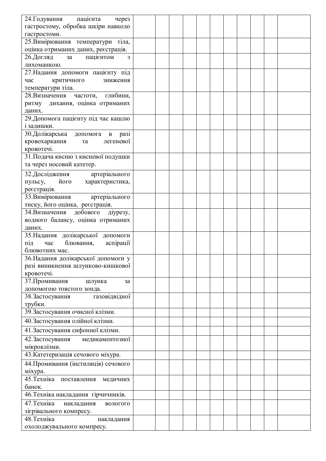| 24. Годування пацієнта<br>через        |  |  |  |  |  |
|----------------------------------------|--|--|--|--|--|
| гастростому, обробка шкіри навколо     |  |  |  |  |  |
| гастростоми.                           |  |  |  |  |  |
| 25. Вимірювання температури тіла,      |  |  |  |  |  |
| оцінка отриманих даних, реєстрація.    |  |  |  |  |  |
| 26. Догляд<br>пацієнтом<br>за          |  |  |  |  |  |
| 3                                      |  |  |  |  |  |
| лихоманкою.                            |  |  |  |  |  |
| 27. Надання допомоги пацієнту під      |  |  |  |  |  |
| критичного<br>час<br>зниження          |  |  |  |  |  |
| температури тіла.                      |  |  |  |  |  |
| 28. Визначення частоти, глибини,       |  |  |  |  |  |
| ритму дихання, оцінка отриманих        |  |  |  |  |  |
| даних.                                 |  |  |  |  |  |
| 29. Допомога пацієнту під час кашлю    |  |  |  |  |  |
| і задишки.                             |  |  |  |  |  |
| 30. Долікарська допомога в разі        |  |  |  |  |  |
| кровохаркання<br>легеневої<br>та       |  |  |  |  |  |
| кровотечі.                             |  |  |  |  |  |
| 31. Подача кисню з кисневої подушки    |  |  |  |  |  |
| та через носовий катетер.              |  |  |  |  |  |
| артеріального<br>32. Дослідження       |  |  |  |  |  |
| пульсу,<br>його<br>характеристика,     |  |  |  |  |  |
| реєстрація.                            |  |  |  |  |  |
| 33. Вимірювання артеріального          |  |  |  |  |  |
| тиску, його оцінка, реєстрація.        |  |  |  |  |  |
| 34. Визначення<br>добового<br>діурезу, |  |  |  |  |  |
| водного балансу, оцінка отриманих      |  |  |  |  |  |
| даних.                                 |  |  |  |  |  |
| 35. Надання долікарської допомоги      |  |  |  |  |  |
| аспірації<br>під<br>блювання,<br>час   |  |  |  |  |  |
| блювотних мас.                         |  |  |  |  |  |
| 36. Надання долікарської допомоги у    |  |  |  |  |  |
| разі виникнення шлунково-кишкової      |  |  |  |  |  |
| кровотечі.                             |  |  |  |  |  |
| 37. Промивання<br>шлунка<br>за         |  |  |  |  |  |
| допомогою товстого зонда.              |  |  |  |  |  |
| газовідвідної<br>38. Застосування      |  |  |  |  |  |
| трубки.                                |  |  |  |  |  |
| 39. Застосування очисної клізми.       |  |  |  |  |  |
| 40. Застосування олійної клізми.       |  |  |  |  |  |
| 41. Застосування сифонної клізми.      |  |  |  |  |  |
|                                        |  |  |  |  |  |
| 42. Застосування<br>медикаментозної    |  |  |  |  |  |
| мікроклізми.                           |  |  |  |  |  |
| 43. Катетеризація сечового міхура.     |  |  |  |  |  |
| 44. Промивання (інстиляція) сечового   |  |  |  |  |  |
| міхура.                                |  |  |  |  |  |
| 45. Техніка<br>поставлення<br>медичних |  |  |  |  |  |
| банок.                                 |  |  |  |  |  |
| 46. Техніка накладання гірчичників.    |  |  |  |  |  |
| 47. Техніка<br>накладання<br>вологого  |  |  |  |  |  |
| зігрівального компресу.                |  |  |  |  |  |
| 48. Техніка                            |  |  |  |  |  |
| накладання                             |  |  |  |  |  |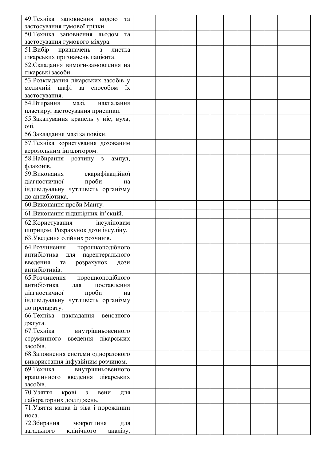| 49. Техніка заповнення водою<br>та     |  |  |  |  |  |  |
|----------------------------------------|--|--|--|--|--|--|
| застосування гумової грілки.           |  |  |  |  |  |  |
|                                        |  |  |  |  |  |  |
| 50. Техніка заповнення льодом<br>та    |  |  |  |  |  |  |
| застосування гумового міхура.          |  |  |  |  |  |  |
| 51.Bu5ip<br>призначень<br>3<br>листка  |  |  |  |  |  |  |
| лікарських призначень пацієнта.        |  |  |  |  |  |  |
| 52. Складання вимоги-замовлення на     |  |  |  |  |  |  |
| лікарські засоби.                      |  |  |  |  |  |  |
| 53. Розкладання лікарських засобів у   |  |  |  |  |  |  |
| медичній шафі за способом їх           |  |  |  |  |  |  |
| застосування.                          |  |  |  |  |  |  |
| 54. Втирання<br>мазі,<br>накладання    |  |  |  |  |  |  |
|                                        |  |  |  |  |  |  |
| пластиру, застосування присипки.       |  |  |  |  |  |  |
| 55. Закапування крапель у ніс, вуха,   |  |  |  |  |  |  |
| очі.                                   |  |  |  |  |  |  |
| 56. Закладання мазі за повіки.         |  |  |  |  |  |  |
| 57. Техніка користування дозованим     |  |  |  |  |  |  |
| аерозольним інгалятором.               |  |  |  |  |  |  |
| 58. Набирання розчину з<br>ампул,      |  |  |  |  |  |  |
| флаконів.                              |  |  |  |  |  |  |
| 59. Виконання скарифікаційної          |  |  |  |  |  |  |
| проби<br>діагностичної<br>на           |  |  |  |  |  |  |
| індивідуальну чутливість організму     |  |  |  |  |  |  |
|                                        |  |  |  |  |  |  |
| до антибіотика.                        |  |  |  |  |  |  |
| 60. Виконання проби Манту.             |  |  |  |  |  |  |
| 61. Виконання підшкірних ін'єкцій.     |  |  |  |  |  |  |
| інсуліновим<br>62. Користування        |  |  |  |  |  |  |
| шприцом. Розрахунок дози інсуліну.     |  |  |  |  |  |  |
| 63. Уведення олійних розчинів.         |  |  |  |  |  |  |
| 64. Розчинення<br>порошкоподібного     |  |  |  |  |  |  |
| антибіотика для<br>парентерального     |  |  |  |  |  |  |
|                                        |  |  |  |  |  |  |
| введення<br>розрахунок<br>та<br>дози   |  |  |  |  |  |  |
| антибіотиків.                          |  |  |  |  |  |  |
| 65. Розчинення<br>порошкоподібного     |  |  |  |  |  |  |
| антибіотика<br>поставлення<br>для      |  |  |  |  |  |  |
| проби<br>діагностичної<br>Ha           |  |  |  |  |  |  |
| індивідуальну чутливість організму     |  |  |  |  |  |  |
| до препарату.                          |  |  |  |  |  |  |
| 66. Техніка<br>накладання<br>венозного |  |  |  |  |  |  |
| джгута.                                |  |  |  |  |  |  |
| 67. Техніка<br>внутрішньовенного       |  |  |  |  |  |  |
| введення<br>лікарських<br>струминного  |  |  |  |  |  |  |
| засобів.                               |  |  |  |  |  |  |
| 68. Заповнення системи одноразового    |  |  |  |  |  |  |
| використання інфузійним розчином.      |  |  |  |  |  |  |
| 69. Техніка<br>внутрішньовенного       |  |  |  |  |  |  |
| лікарських<br>краплинного введення     |  |  |  |  |  |  |
| засобів.                               |  |  |  |  |  |  |
| 70. Узяття<br>крові<br>вени            |  |  |  |  |  |  |
| 3<br>ДЛЯ                               |  |  |  |  |  |  |
| лабораторних досліджень.               |  |  |  |  |  |  |
| 71. Узяття мазка із зіва і порожнини   |  |  |  |  |  |  |
| носа.                                  |  |  |  |  |  |  |
| 72.3бирання<br>мокротиння<br>ДЛЯ       |  |  |  |  |  |  |
| клінічного<br>загального<br>аналізу,   |  |  |  |  |  |  |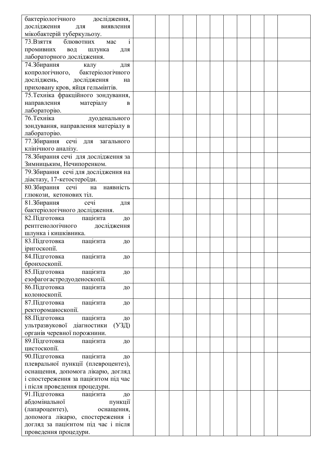| бактеріологічного дослідження,                 |  |  |  |  |  |  |
|------------------------------------------------|--|--|--|--|--|--|
| дослідження<br>ДЛЯ<br>виявлення                |  |  |  |  |  |  |
| мікобактерій туберкульозу.                     |  |  |  |  |  |  |
| $\mathbf{i}$<br>73. Взяття<br>блювотних<br>мас |  |  |  |  |  |  |
| промивних<br>вод<br>шлунка<br>ДЛЯ              |  |  |  |  |  |  |
| лабораторного дослідження.                     |  |  |  |  |  |  |
| 74.3бирання<br>калу<br>ДЛЯ                     |  |  |  |  |  |  |
| копрологічного,<br>бактеріологічного           |  |  |  |  |  |  |
| досліджень,<br>дослідження<br>на               |  |  |  |  |  |  |
| приховану кров, яйця гельмінтів.               |  |  |  |  |  |  |
| 75. Техніка фракційного зондування,            |  |  |  |  |  |  |
|                                                |  |  |  |  |  |  |
| направлення матеріалу<br>B                     |  |  |  |  |  |  |
| лабораторію.                                   |  |  |  |  |  |  |
| 76. Техніка<br>дуоденального                   |  |  |  |  |  |  |
| зондування, направлення матеріалу в            |  |  |  |  |  |  |
| лабораторію.                                   |  |  |  |  |  |  |
| 77.3бирання сечі для загального                |  |  |  |  |  |  |
| клінічного аналізу.                            |  |  |  |  |  |  |
| 78. Збирання сечі для дослідження за           |  |  |  |  |  |  |
| Зимницьким, Нечипоренком.                      |  |  |  |  |  |  |
| 79. Збирання сечі для дослідження на           |  |  |  |  |  |  |
| діастазу, 17-кетостероїди.                     |  |  |  |  |  |  |
| 80.3бирання сечі<br>на наявність               |  |  |  |  |  |  |
| глюкози, кетонових тіл.                        |  |  |  |  |  |  |
| 81. Збирання<br>сечі<br>ДЛЯ                    |  |  |  |  |  |  |
| бактеріологічного дослідження.                 |  |  |  |  |  |  |
| 82. Підготовка<br>пацієнта<br>ДО               |  |  |  |  |  |  |
| рентгенологічного<br>дослідження               |  |  |  |  |  |  |
| шлунка і кишківника.                           |  |  |  |  |  |  |
| 83. Підготовка<br>пацієнта<br>ДО               |  |  |  |  |  |  |
| іригоскопії.                                   |  |  |  |  |  |  |
| 84. Підготовка<br>пацієнта<br>ДО               |  |  |  |  |  |  |
| бронхоскопії.                                  |  |  |  |  |  |  |
| 85. Підготовка<br>пацієнта<br>ДО               |  |  |  |  |  |  |
| езофагогастродуоденоскопії.                    |  |  |  |  |  |  |
| 86. Підготовка<br>пацієнта<br>ДО               |  |  |  |  |  |  |
| колоноскопії.                                  |  |  |  |  |  |  |
| 87. Підготовка<br>пацієнта<br>ДО               |  |  |  |  |  |  |
| ректороманоскопії.                             |  |  |  |  |  |  |
| 88. Підготовка<br>пацієнта<br>ДО               |  |  |  |  |  |  |
| (Y3L)<br>ультразвукової<br>діагностики         |  |  |  |  |  |  |
| органів черевної порожнини.                    |  |  |  |  |  |  |
| 89. Підготовка<br>пацієнта<br>ДО               |  |  |  |  |  |  |
| цистоскопії.                                   |  |  |  |  |  |  |
| 90. Підготовка<br>пацієнта<br>ДО               |  |  |  |  |  |  |
| плевральної пункції (плевроцентез),            |  |  |  |  |  |  |
| оснащення, допомога лікарю, догляд             |  |  |  |  |  |  |
| і спостереження за пацієнтом під час           |  |  |  |  |  |  |
| і після проведення процедури.                  |  |  |  |  |  |  |
| 91. Підготовка<br>пацієнта<br>ДО               |  |  |  |  |  |  |
| абдомінальної<br>пункції                       |  |  |  |  |  |  |
| (лапароцентез),<br>оснащення,                  |  |  |  |  |  |  |
| допомога лікарю, спостереження і               |  |  |  |  |  |  |
| догляд за пацієнтом під час і після            |  |  |  |  |  |  |
| проведення процедури.                          |  |  |  |  |  |  |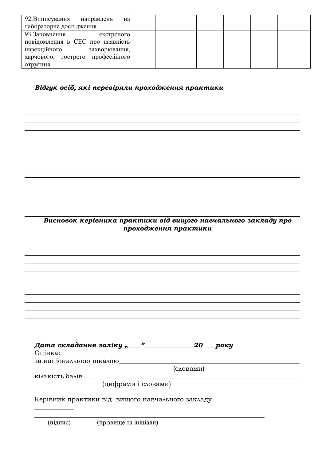| 92. Виписування направлень<br>на                                                                                                                   |  |  |  |  |  |  |
|----------------------------------------------------------------------------------------------------------------------------------------------------|--|--|--|--|--|--|
| лабораторне дослідження.                                                                                                                           |  |  |  |  |  |  |
| 93. Заповнення<br>екстреного<br>повідомлення в СЕС про наявність<br>інфекційного<br>захворювання,<br>харчового, гострого професійного<br>отрусння. |  |  |  |  |  |  |

# $B$ *iдгук* осіб, які перевіряли проходження практики

Висновок керівника практики від вищого навчального закладу про  $\bar{p}$ проходження практики

| 20<br>року<br>Оцінка:<br>за національною шкалою  |
|--------------------------------------------------|
| (словами)                                        |
| кількість балів                                  |
| (цифрами і словами)                              |
| Керівник практики від вищого навчального закладу |

\_\_\_\_\_\_\_\_\_\_\_\_\_\_\_\_\_\_\_\_\_\_\_\_\_\_\_\_\_\_\_\_\_\_\_\_\_\_\_\_\_\_\_\_\_\_\_\_\_\_\_\_\_\_\_\_\_\_\_\_\_\_\_\_\_\_\_\_\_\_

(підпис) (прізвище та ініціали)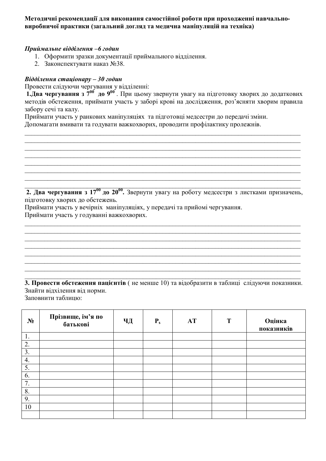#### Методичні рекомендації для виконання самостійної роботи при проходженні навчально**виробничої практики (загальний догляд та медична маніпуляцій на техніка)**

#### $\Pi$ риймальне відділення –6 годин

- 1. Оформити зразки документації приймального відділення.
- 2. Законспектувати наказ №38.

#### $B$ *iддiлення стаціонару* – 30 *годин*

Провести слідуючи чергування у відділенні:

1. Два чергування з 7<sup>00</sup> до 9<sup>00</sup>. При цьому звернути увагу на підготовку хворих до додаткових методів обстеження, приймати участь у заборі крові на дослідження, роз'ясняти хворим правила забору сечі та калу.

 $\_$  , and the contribution of the contribution of the contribution of the contribution of  $\mathcal{L}_\text{max}$  $\mathcal{L}_\mathcal{L} = \{ \mathcal{L}_\mathcal{L} = \{ \mathcal{L}_\mathcal{L} = \{ \mathcal{L}_\mathcal{L} = \{ \mathcal{L}_\mathcal{L} = \{ \mathcal{L}_\mathcal{L} = \{ \mathcal{L}_\mathcal{L} = \{ \mathcal{L}_\mathcal{L} = \{ \mathcal{L}_\mathcal{L} = \{ \mathcal{L}_\mathcal{L} = \{ \mathcal{L}_\mathcal{L} = \{ \mathcal{L}_\mathcal{L} = \{ \mathcal{L}_\mathcal{L} = \{ \mathcal{L}_\mathcal{L} = \{ \mathcal{L}_\mathcal{$  $\_$  , and the contribution of the contribution of the contribution of the contribution of  $\mathcal{L}_\text{max}$  $\_$  , and the contribution of the contribution of the contribution of the contribution of  $\mathcal{L}_\text{max}$  $\_$  , and the contribution of the contribution of the contribution of the contribution of  $\mathcal{L}_\text{max}$  $\_$  , and the contribution of the contribution of the contribution of the contribution of  $\mathcal{L}_\text{max}$  $\_$  , and the contribution of the contribution of the contribution of the contribution of  $\mathcal{L}_\text{max}$  $\_$  , and the contribution of the contribution of the contribution of the contribution of  $\mathcal{L}_\text{max}$ 

Приймати участь у ранкових маніпуляціях та підготовці медсестри до передачі зміни. Допомагати вмивати та годувати важкохворих, проводити профілактику пролежнів.

**2. Два чергування з 17<sup>00</sup> до 20<sup>00</sup>.** Звернути увагу на роботу медсестри з листками призначень, підготовку хворих до обстежень.

 $\_$  , and the contribution of the contribution of the contribution of the contribution of  $\mathcal{L}_\text{max}$  $\_$  , and the contribution of the contribution of the contribution of the contribution of  $\mathcal{L}_\text{max}$  $\_$  , and the contribution of the contribution of the contribution of the contribution of  $\mathcal{L}_\text{max}$  $\_$  , and the contribution of the contribution of the contribution of the contribution of  $\mathcal{L}_\text{max}$  $\_$  , and the contribution of the contribution of the contribution of the contribution of  $\mathcal{L}_\text{max}$  $\mathcal{L}_\mathcal{L} = \{ \mathcal{L}_\mathcal{L} = \{ \mathcal{L}_\mathcal{L} = \{ \mathcal{L}_\mathcal{L} = \{ \mathcal{L}_\mathcal{L} = \{ \mathcal{L}_\mathcal{L} = \{ \mathcal{L}_\mathcal{L} = \{ \mathcal{L}_\mathcal{L} = \{ \mathcal{L}_\mathcal{L} = \{ \mathcal{L}_\mathcal{L} = \{ \mathcal{L}_\mathcal{L} = \{ \mathcal{L}_\mathcal{L} = \{ \mathcal{L}_\mathcal{L} = \{ \mathcal{L}_\mathcal{L} = \{ \mathcal{L}_\mathcal{$  $\mathcal{L}_\mathcal{L} = \{ \mathcal{L}_\mathcal{L} = \{ \mathcal{L}_\mathcal{L} = \{ \mathcal{L}_\mathcal{L} = \{ \mathcal{L}_\mathcal{L} = \{ \mathcal{L}_\mathcal{L} = \{ \mathcal{L}_\mathcal{L} = \{ \mathcal{L}_\mathcal{L} = \{ \mathcal{L}_\mathcal{L} = \{ \mathcal{L}_\mathcal{L} = \{ \mathcal{L}_\mathcal{L} = \{ \mathcal{L}_\mathcal{L} = \{ \mathcal{L}_\mathcal{L} = \{ \mathcal{L}_\mathcal{L} = \{ \mathcal{L}_\mathcal{$  $\_$  , and the contribution of the contribution of the contribution of the contribution of  $\mathcal{L}_\text{max}$ 

Приймати участь у вечірніх маніпуляціях, у передачі та прийомі чергування. Приймати участь у годуванні важкохворих.

3. Провести обстеження пацієнтів (не менше 10) та відобразити в таблиці слідуючи показники. Знайти відхілення від норми. Заповнити таблиню:

| $N_2$            | Прізвище, ім'я по<br>батькові | ЧД | $P_{s}$ | AT | T | Оцінка<br>показників |
|------------------|-------------------------------|----|---------|----|---|----------------------|
| 1.               |                               |    |         |    |   |                      |
| 2.               |                               |    |         |    |   |                      |
| $\overline{3}$ . |                               |    |         |    |   |                      |
| 4.               |                               |    |         |    |   |                      |
| 5.               |                               |    |         |    |   |                      |
| 6.               |                               |    |         |    |   |                      |
| 7.               |                               |    |         |    |   |                      |
| 8.               |                               |    |         |    |   |                      |
| 9.               |                               |    |         |    |   |                      |
| 10               |                               |    |         |    |   |                      |
|                  |                               |    |         |    |   |                      |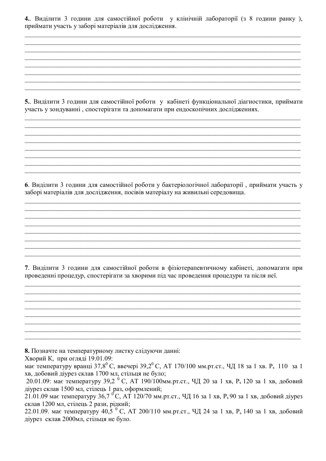4. Виділити 3 години для самостійної роботи у клінічній лабораторії (з 8 години ранку), приймати участь у заборі матеріалів для дослідження.

5. Виділити 3 години для самостійної роботи у кабінеті функціональної діагностики, приймати участь у зондуванні, спостерігати та допомагати при ендоскопічних дослідженнях.

6. Виділити 3 години для самостійної роботи у бактеріологічної лабораторії, приймати участь у заборі матеріалів для дослідження, посівів матеріалу на живильні середовища.

7. Виділити 3 години для самостійної роботи в фізіотерапевтичному кабінеті, допомагати при проведенні процедур, спостерігати за хворими під час проведення процедури та після неї.

<u> 1989 - Johann Stoff, amerikansk politik (d. 1989)</u>

8. Позначте на температурному листку слідуючи данні:

Хворий К, при огляді 19.01.09:

має температуру вранці 37,8<sup>0</sup> С, ввечері 39,2<sup>0</sup> С, АТ 170/100 мм.рт.ст., ЧД 18 за 1 хв. Р<sub>5</sub> 110 за 1 хв, добовий діурез склав 1700 мл, стільця не було;

20.01.09: має температуру 39,2<sup>6</sup> С, АТ 190/100мм.рт.ст., ЧД 20 за 1 хв, P<sub>s</sub> 120 за 1 хв, добовий діурез склав 1500 мл, стілець 1 раз, оформлений;

21.01.09 має температуру 36,7 °С, АТ 120/70 мм.рт.ст., ЧД 16 за 1 хв, P<sub>s</sub> 90 за 1 хв, добовий діурез склав 1200 мл, стілець 2 рази, рідкий;

22.01.09, має температуру 40.5 °C, АТ 200/110 мм.рт.ст., ЧЛ 24 за 1 хв. Р. 140 за 1 хв. добовий діурез склав 2000мл, стільця не було.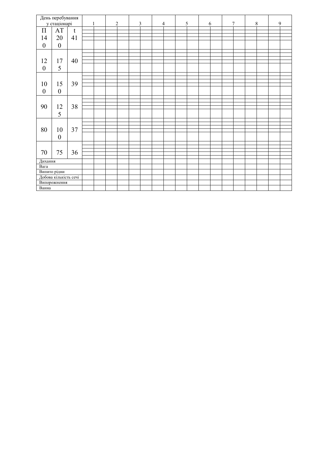| День перебування |                       | $\overline{c}$<br>$\mathbf{1}$ |  | $\mathfrak{Z}$ |  | $\overline{4}$ |  | 5 |  | 6 |  | $\overline{7}$ |  | $\,8\,$ |  | $\mathbf{9}$ |  |  |
|------------------|-----------------------|--------------------------------|--|----------------|--|----------------|--|---|--|---|--|----------------|--|---------|--|--------------|--|--|
| у стаціонарі     |                       |                                |  |                |  |                |  |   |  |   |  |                |  |         |  |              |  |  |
| $\Pi$            | AT                    | $\mathbf t$                    |  |                |  |                |  |   |  |   |  |                |  |         |  |              |  |  |
|                  |                       |                                |  |                |  |                |  |   |  |   |  |                |  |         |  |              |  |  |
| 14               | 20                    | 41                             |  |                |  |                |  |   |  |   |  |                |  |         |  |              |  |  |
|                  |                       |                                |  |                |  |                |  |   |  |   |  |                |  |         |  |              |  |  |
| $\boldsymbol{0}$ | $\boldsymbol{0}$      |                                |  |                |  |                |  |   |  |   |  |                |  |         |  |              |  |  |
|                  |                       |                                |  |                |  |                |  |   |  |   |  |                |  |         |  |              |  |  |
|                  |                       |                                |  |                |  |                |  |   |  |   |  |                |  |         |  |              |  |  |
| 12               | 17                    | 40                             |  |                |  |                |  |   |  |   |  |                |  |         |  |              |  |  |
|                  |                       |                                |  |                |  |                |  |   |  |   |  |                |  |         |  |              |  |  |
| $\boldsymbol{0}$ | 5                     |                                |  |                |  |                |  |   |  |   |  |                |  |         |  |              |  |  |
|                  |                       |                                |  |                |  |                |  |   |  |   |  |                |  |         |  |              |  |  |
|                  |                       |                                |  |                |  |                |  |   |  |   |  |                |  |         |  |              |  |  |
| 10               | 15                    | 39                             |  |                |  |                |  |   |  |   |  |                |  |         |  |              |  |  |
|                  |                       |                                |  |                |  |                |  |   |  |   |  |                |  |         |  |              |  |  |
| $\boldsymbol{0}$ | $\boldsymbol{0}$      |                                |  |                |  |                |  |   |  |   |  |                |  |         |  |              |  |  |
|                  |                       |                                |  |                |  |                |  |   |  |   |  |                |  |         |  |              |  |  |
|                  |                       |                                |  |                |  |                |  |   |  |   |  |                |  |         |  |              |  |  |
| 90               | 12                    | 38                             |  |                |  |                |  |   |  |   |  |                |  |         |  |              |  |  |
|                  |                       |                                |  |                |  |                |  |   |  |   |  |                |  |         |  |              |  |  |
|                  | 5                     |                                |  |                |  |                |  |   |  |   |  |                |  |         |  |              |  |  |
|                  |                       |                                |  |                |  |                |  |   |  |   |  |                |  |         |  |              |  |  |
|                  | 10                    |                                |  |                |  |                |  |   |  |   |  |                |  |         |  |              |  |  |
|                  |                       | 37                             |  |                |  |                |  |   |  |   |  |                |  |         |  |              |  |  |
| 80               |                       |                                |  |                |  |                |  |   |  |   |  |                |  |         |  |              |  |  |
|                  |                       |                                |  |                |  |                |  |   |  |   |  |                |  |         |  |              |  |  |
|                  | $\boldsymbol{0}$      |                                |  |                |  |                |  |   |  |   |  |                |  |         |  |              |  |  |
| 70               | 75                    | 36                             |  |                |  |                |  |   |  |   |  |                |  |         |  |              |  |  |
|                  |                       |                                |  |                |  |                |  |   |  |   |  |                |  |         |  |              |  |  |
|                  |                       |                                |  |                |  |                |  |   |  |   |  |                |  |         |  |              |  |  |
|                  |                       |                                |  |                |  |                |  |   |  |   |  |                |  |         |  |              |  |  |
| Дихання          |                       |                                |  |                |  |                |  |   |  |   |  |                |  |         |  |              |  |  |
| Вага             |                       |                                |  |                |  |                |  |   |  |   |  |                |  |         |  |              |  |  |
| Випито рідни     |                       |                                |  |                |  |                |  |   |  |   |  |                |  |         |  |              |  |  |
|                  | Добова кількість сечі |                                |  |                |  |                |  |   |  |   |  |                |  |         |  |              |  |  |
| Випорожнення     |                       |                                |  |                |  |                |  |   |  |   |  |                |  |         |  |              |  |  |
|                  |                       |                                |  |                |  |                |  |   |  |   |  |                |  |         |  |              |  |  |
| Ванна            |                       |                                |  |                |  |                |  |   |  |   |  |                |  |         |  |              |  |  |